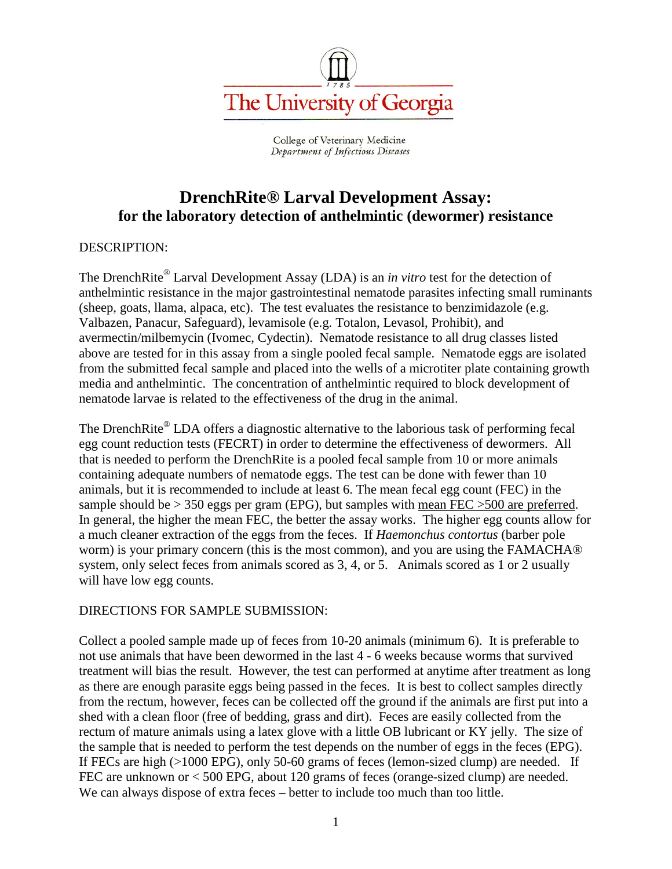

College of Veterinary Medicine Department of Infectious Diseases

## **DrenchRite® Larval Development Assay: for the laboratory detection of anthelmintic (dewormer) resistance**

#### DESCRIPTION:

The DrenchRite® Larval Development Assay (LDA) is an *in vitro* test for the detection of anthelmintic resistance in the major gastrointestinal nematode parasites infecting small ruminants (sheep, goats, llama, alpaca, etc). The test evaluates the resistance to benzimidazole (e.g. Valbazen, Panacur, Safeguard), levamisole (e.g. Totalon, Levasol, Prohibit), and avermectin/milbemycin (Ivomec, Cydectin). Nematode resistance to all drug classes listed above are tested for in this assay from a single pooled fecal sample. Nematode eggs are isolated from the submitted fecal sample and placed into the wells of a microtiter plate containing growth media and anthelmintic. The concentration of anthelmintic required to block development of nematode larvae is related to the effectiveness of the drug in the animal.

The DrenchRite<sup>®</sup> LDA offers a diagnostic alternative to the laborious task of performing fecal egg count reduction tests (FECRT) in order to determine the effectiveness of dewormers. All that is needed to perform the DrenchRite is a pooled fecal sample from 10 or more animals containing adequate numbers of nematode eggs. The test can be done with fewer than 10 animals, but it is recommended to include at least 6. The mean fecal egg count (FEC) in the sample should be > 350 eggs per gram (EPG), but samples with mean FEC >500 are preferred. In general, the higher the mean FEC, the better the assay works. The higher egg counts allow for a much cleaner extraction of the eggs from the feces. If *Haemonchus contortus* (barber pole worm) is your primary concern (this is the most common), and you are using the FAMACHA® system, only select feces from animals scored as 3, 4, or 5. Animals scored as 1 or 2 usually will have low egg counts.

#### DIRECTIONS FOR SAMPLE SUBMISSION:

Collect a pooled sample made up of feces from 10-20 animals (minimum 6). It is preferable to not use animals that have been dewormed in the last 4 - 6 weeks because worms that survived treatment will bias the result. However, the test can performed at anytime after treatment as long as there are enough parasite eggs being passed in the feces. It is best to collect samples directly from the rectum, however, feces can be collected off the ground if the animals are first put into a shed with a clean floor (free of bedding, grass and dirt). Feces are easily collected from the rectum of mature animals using a latex glove with a little OB lubricant or KY jelly. The size of the sample that is needed to perform the test depends on the number of eggs in the feces (EPG). If FECs are high (>1000 EPG), only 50-60 grams of feces (lemon-sized clump) are needed. If FEC are unknown or < 500 EPG, about 120 grams of feces (orange-sized clump) are needed. We can always dispose of extra feces – better to include too much than too little.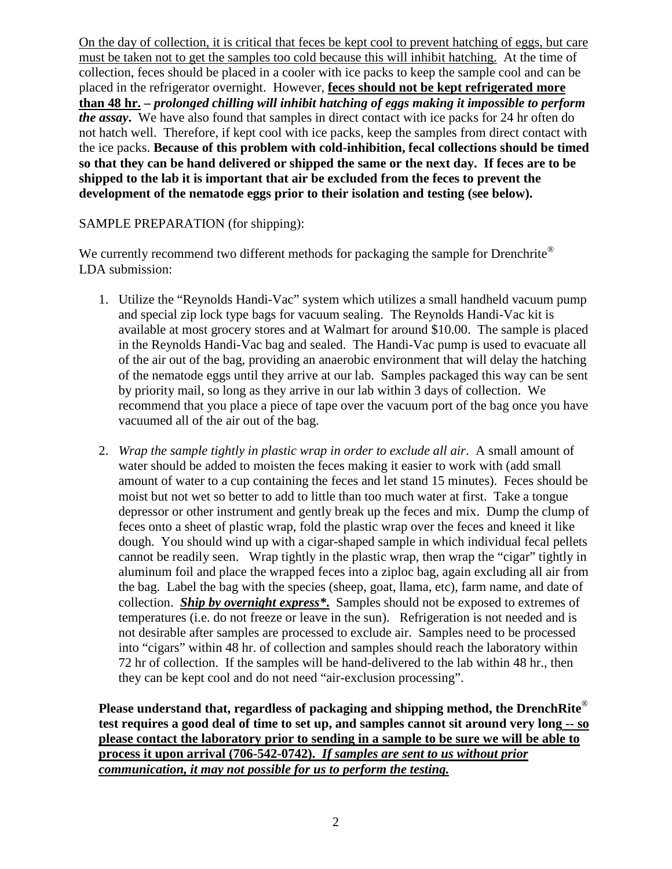On the day of collection, it is critical that feces be kept cool to prevent hatching of eggs, but care must be taken not to get the samples too cold because this will inhibit hatching. At the time of collection, feces should be placed in a cooler with ice packs to keep the sample cool and can be placed in the refrigerator overnight. However, **feces should not be kept refrigerated more than 48 hr. –** *prolonged chilling will inhibit hatching of eggs making it impossible to perform the assay***.** We have also found that samples in direct contact with ice packs for 24 hr often do not hatch well. Therefore, if kept cool with ice packs, keep the samples from direct contact with the ice packs. **Because of this problem with cold-inhibition, fecal collections should be timed so that they can be hand delivered or shipped the same or the next day. If feces are to be shipped to the lab it is important that air be excluded from the feces to prevent the development of the nematode eggs prior to their isolation and testing (see below).**

#### SAMPLE PREPARATION (for shipping):

We currently recommend two different methods for packaging the sample for Drenchrite<sup>®</sup> LDA submission:

- 1. Utilize the "Reynolds Handi-Vac" system which utilizes a small handheld vacuum pump and special zip lock type bags for vacuum sealing. The Reynolds Handi-Vac kit is available at most grocery stores and at Walmart for around \$10.00. The sample is placed in the Reynolds Handi-Vac bag and sealed. The Handi-Vac pump is used to evacuate all of the air out of the bag, providing an anaerobic environment that will delay the hatching of the nematode eggs until they arrive at our lab. Samples packaged this way can be sent by priority mail, so long as they arrive in our lab within 3 days of collection. We recommend that you place a piece of tape over the vacuum port of the bag once you have vacuumed all of the air out of the bag.
- 2. *Wrap the sample tightly in plastic wrap in order to exclude all air*. A small amount of water should be added to moisten the feces making it easier to work with (add small amount of water to a cup containing the feces and let stand 15 minutes). Feces should be moist but not wet so better to add to little than too much water at first. Take a tongue depressor or other instrument and gently break up the feces and mix. Dump the clump of feces onto a sheet of plastic wrap, fold the plastic wrap over the feces and kneed it like dough. You should wind up with a cigar-shaped sample in which individual fecal pellets cannot be readily seen. Wrap tightly in the plastic wrap, then wrap the "cigar" tightly in aluminum foil and place the wrapped feces into a ziploc bag, again excluding all air from the bag. Label the bag with the species (sheep, goat, llama, etc), farm name, and date of collection. *Ship by overnight express\****.** Samples should not be exposed to extremes of temperatures (i.e. do not freeze or leave in the sun). Refrigeration is not needed and is not desirable after samples are processed to exclude air. Samples need to be processed into "cigars" within 48 hr. of collection and samples should reach the laboratory within 72 hr of collection. If the samples will be hand-delivered to the lab within 48 hr., then they can be kept cool and do not need "air-exclusion processing".

**Please understand that, regardless of packaging and shipping method, the DrenchRite** ® **test requires a good deal of time to set up, and samples cannot sit around very long -- so please contact the laboratory prior to sending in a sample to be sure we will be able to process it upon arrival (706-542-0742).** *If samples are sent to us without prior communication, it may not possible for us to perform the testing.*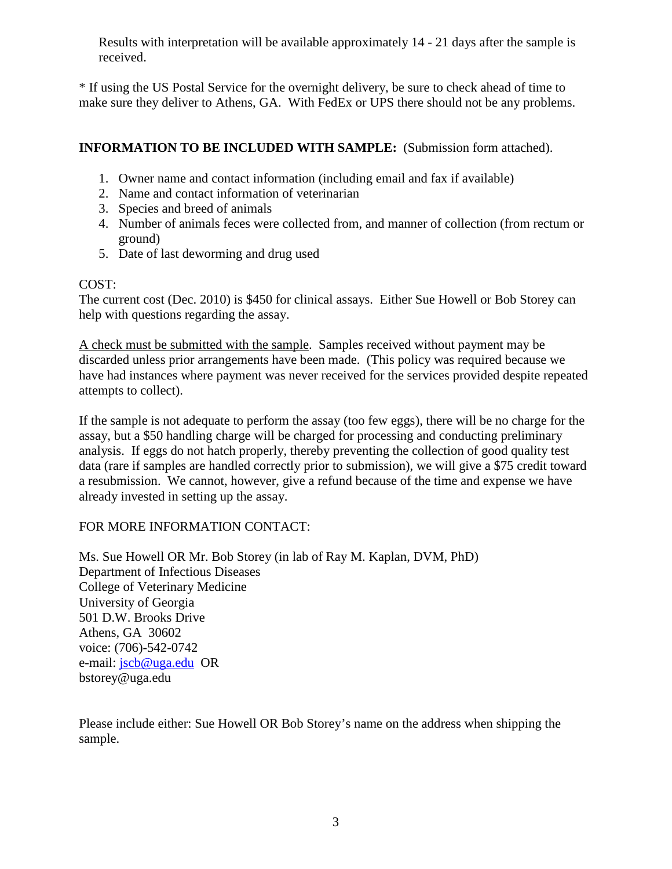Results with interpretation will be available approximately 14 - 21 days after the sample is received.

\* If using the US Postal Service for the overnight delivery, be sure to check ahead of time to make sure they deliver to Athens, GA. With FedEx or UPS there should not be any problems.

## **INFORMATION TO BE INCLUDED WITH SAMPLE:** (Submission form attached).

- 1. Owner name and contact information (including email and fax if available)
- 2. Name and contact information of veterinarian
- 3. Species and breed of animals
- 4. Number of animals feces were collected from, and manner of collection (from rectum or ground)
- 5. Date of last deworming and drug used

## COST:

The current cost (Dec. 2010) is \$450 for clinical assays. Either Sue Howell or Bob Storey can help with questions regarding the assay.

A check must be submitted with the sample. Samples received without payment may be discarded unless prior arrangements have been made. (This policy was required because we have had instances where payment was never received for the services provided despite repeated attempts to collect).

If the sample is not adequate to perform the assay (too few eggs), there will be no charge for the assay, but a \$50 handling charge will be charged for processing and conducting preliminary analysis. If eggs do not hatch properly, thereby preventing the collection of good quality test data (rare if samples are handled correctly prior to submission), we will give a \$75 credit toward a resubmission. We cannot, however, give a refund because of the time and expense we have already invested in setting up the assay.

#### FOR MORE INFORMATION CONTACT:

Ms. Sue Howell OR Mr. Bob Storey (in lab of Ray M. Kaplan, DVM, PhD) Department of Infectious Diseases College of Veterinary Medicine University of Georgia 501 D.W. Brooks Drive Athens, GA 30602 voice: (706)-542-0742 e-mail: [jscb@uga.edu](mailto:jscb@uga.edu) OR bstorey@uga.edu

Please include either: Sue Howell OR Bob Storey's name on the address when shipping the sample.